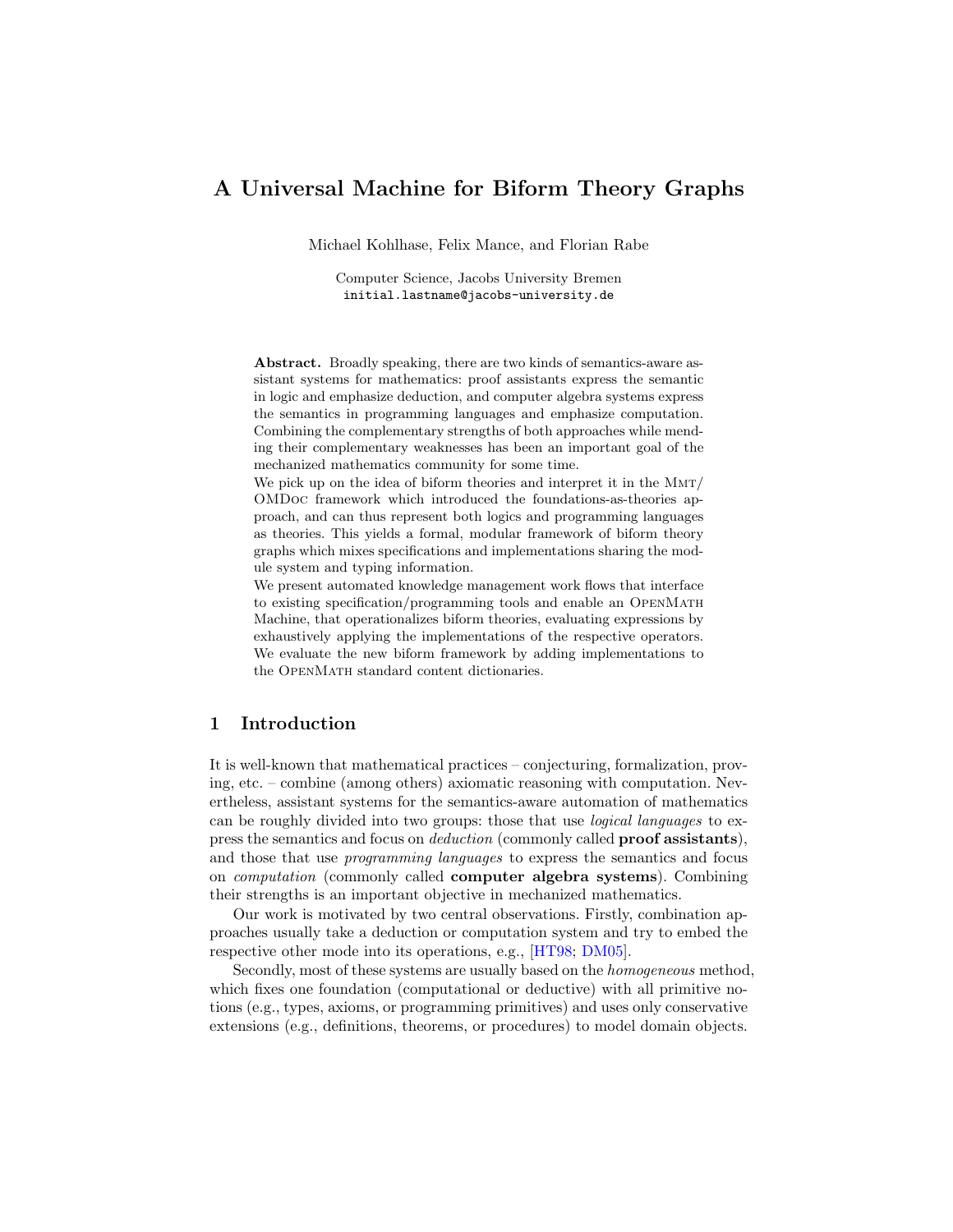# A Universal Machine for Biform Theory Graphs

Michael Kohlhase, Felix Mance, and Florian Rabe

Computer Science, Jacobs University Bremen initial.lastname@jacobs-university.de

Abstract. Broadly speaking, there are two kinds of semantics-aware assistant systems for mathematics: proof assistants express the semantic in logic and emphasize deduction, and computer algebra systems express the semantics in programming languages and emphasize computation. Combining the complementary strengths of both approaches while mending their complementary weaknesses has been an important goal of the mechanized mathematics community for some time.

We pick up on the idea of biform theories and interpret it in the MMT/ OMDoc framework which introduced the foundations-as-theories approach, and can thus represent both logics and programming languages as theories. This yields a formal, modular framework of biform theory graphs which mixes specifications and implementations sharing the module system and typing information.

We present automated knowledge management work flows that interface to existing specification/programming tools and enable an OpenMath Machine, that operationalizes biform theories, evaluating expressions by exhaustively applying the implementations of the respective operators. We evaluate the new biform framework by adding implementations to the OpenMath standard content dictionaries.

## 1 Introduction

It is well-known that mathematical practices – conjecturing, formalization, proving, etc. – combine (among others) axiomatic reasoning with computation. Nevertheless, assistant systems for the semantics-aware automation of mathematics can be roughly divided into two groups: those that use logical languages to express the semantics and focus on *deduction* (commonly called **proof assistants**), and those that use programming languages to express the semantics and focus on computation (commonly called computer algebra systems). Combining their strengths is an important objective in mechanized mathematics.

Our work is motivated by two central observations. Firstly, combination approaches usually take a deduction or computation system and try to embed the respective other mode into its operations, e.g., [\[HT98;](#page-14-0) [DM05\]](#page-14-1).

Secondly, most of these systems are usually based on the homogeneous method, which fixes one foundation (computational or deductive) with all primitive notions (e.g., types, axioms, or programming primitives) and uses only conservative extensions (e.g., definitions, theorems, or procedures) to model domain objects.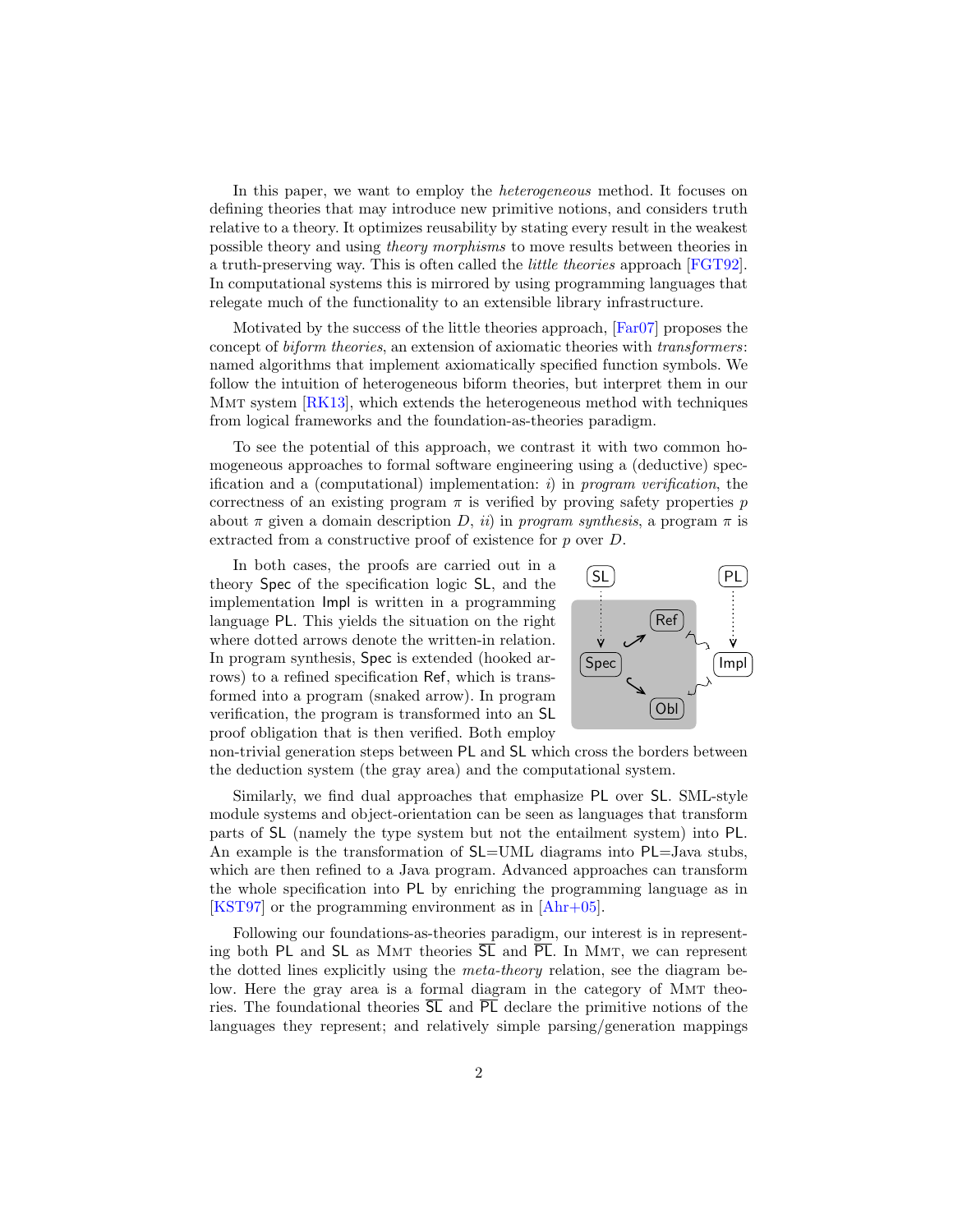In this paper, we want to employ the heterogeneous method. It focuses on defining theories that may introduce new primitive notions, and considers truth relative to a theory. It optimizes reusability by stating every result in the weakest possible theory and using theory morphisms to move results between theories in a truth-preserving way. This is often called the little theories approach [\[FGT92\]](#page-14-2). In computational systems this is mirrored by using programming languages that relegate much of the functionality to an extensible library infrastructure.

Motivated by the success of the little theories approach, [\[Far07\]](#page-14-3) proposes the concept of biform theories, an extension of axiomatic theories with transformers: named algorithms that implement axiomatically specified function symbols. We follow the intuition of heterogeneous biform theories, but interpret them in our MMT system  $\left[\text{RK}13\right]$ , which extends the heterogeneous method with techniques from logical frameworks and the foundation-as-theories paradigm.

To see the potential of this approach, we contrast it with two common homogeneous approaches to formal software engineering using a (deductive) specification and a (computational) implementation: i) in program verification, the correctness of an existing program  $\pi$  is verified by proving safety properties p about  $\pi$  given a domain description D, ii) in program synthesis, a program  $\pi$  is extracted from a constructive proof of existence for p over D.

In both cases, the proofs are carried out in a theory Spec of the specification logic SL, and the implementation Impl is written in a programming language PL. This yields the situation on the right where dotted arrows denote the written-in relation. In program synthesis, Spec is extended (hooked arrows) to a refined specification Ref, which is transformed into a program (snaked arrow). In program verification, the program is transformed into an SL proof obligation that is then verified. Both employ



non-trivial generation steps between PL and SL which cross the borders between the deduction system (the gray area) and the computational system.

Similarly, we find dual approaches that emphasize PL over SL. SML-style module systems and object-orientation can be seen as languages that transform parts of SL (namely the type system but not the entailment system) into PL. An example is the transformation of SL=UML diagrams into PL=Java stubs, which are then refined to a Java program. Advanced approaches can transform the whole specification into PL by enriching the programming language as in [\[KST97\]](#page-14-5) or the programming environment as in [\[Ahr+05\]](#page-14-6).

Following our foundations-as-theories paradigm, our interest is in representing both PL and SL as MMT theories  $\overline{SL}$  and  $\overline{PL}$ . In MMT, we can represent the dotted lines explicitly using the meta-theory relation, see the diagram below. Here the gray area is a formal diagram in the category of MMT theories. The foundational theories  $\overline{SL}$  and  $\overline{PL}$  declare the primitive notions of the languages they represent; and relatively simple parsing/generation mappings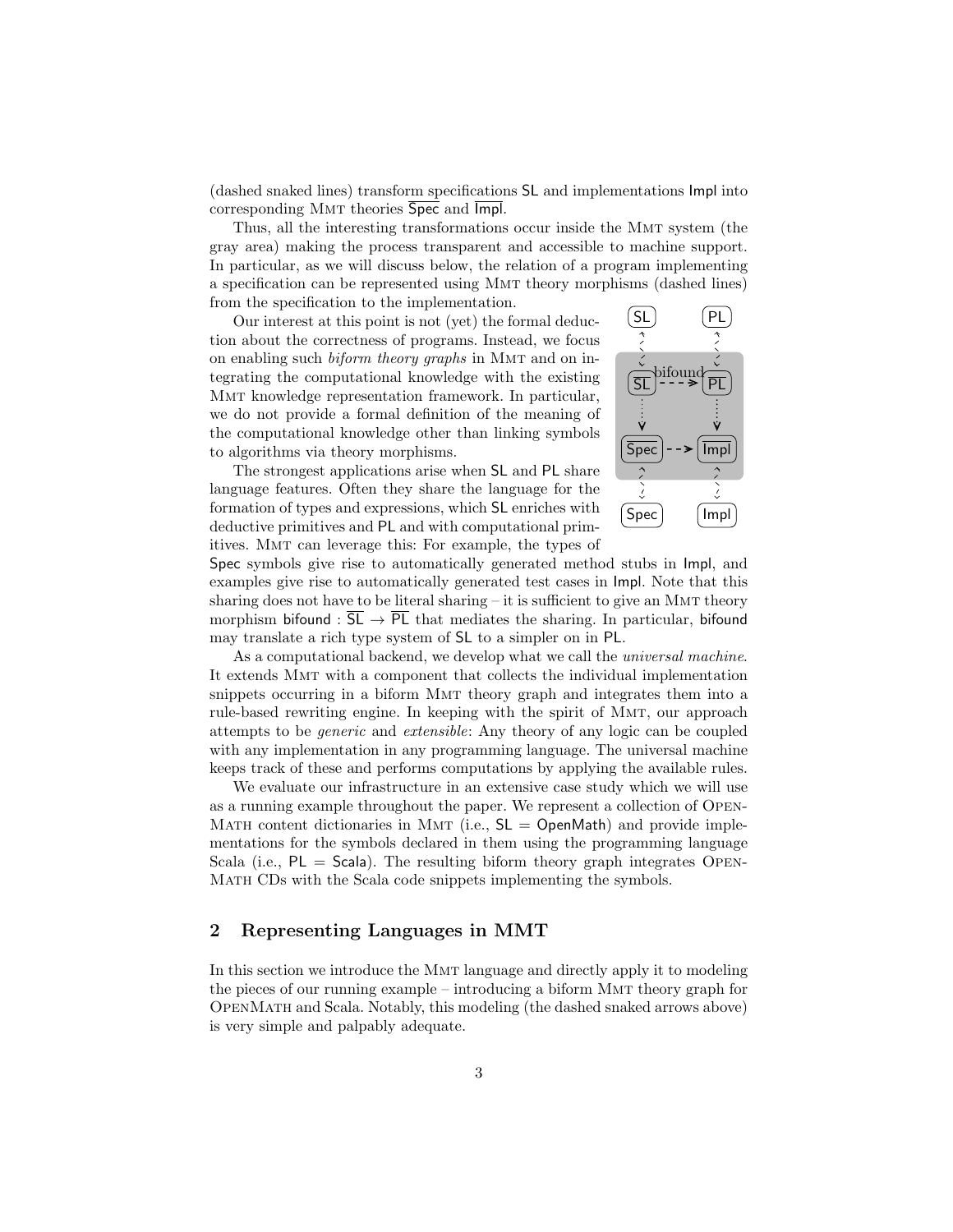(dashed snaked lines) transform specifications SL and implementations Impl into corresponding Mmt theories Spec and Impl.

Thus, all the interesting transformations occur inside the Mmt system (the gray area) making the process transparent and accessible to machine support. In particular, as we will discuss below, the relation of a program implementing a specification can be represented using Mmt theory morphisms (dashed lines) from the specification to the implementation.

Our interest at this point is not (yet) the formal deduction about the correctness of programs. Instead, we focus on enabling such biform theory graphs in Mmt and on integrating the computational knowledge with the existing Mmt knowledge representation framework. In particular, we do not provide a formal definition of the meaning of the computational knowledge other than linking symbols to algorithms via theory morphisms.

The strongest applications arise when SL and PL share language features. Often they share the language for the formation of types and expressions, which SL enriches with deductive primitives and PL and with computational primitives. Mmt can leverage this: For example, the types of



Spec symbols give rise to automatically generated method stubs in Impl, and examples give rise to automatically generated test cases in Impl. Note that this sharing does not have to be literal sharing  $-$  it is sufficient to give an MMT theory morphism bifound :  $\overline{SL} \to \overline{PL}$  that mediates the sharing. In particular, bifound may translate a rich type system of SL to a simpler on in PL.

As a computational backend, we develop what we call the *universal machine*. It extends Mmt with a component that collects the individual implementation snippets occurring in a biform Mmt theory graph and integrates them into a rule-based rewriting engine. In keeping with the spirit of Mmt, our approach attempts to be generic and extensible: Any theory of any logic can be coupled with any implementation in any programming language. The universal machine keeps track of these and performs computations by applying the available rules.

We evaluate our infrastructure in an extensive case study which we will use as a running example throughout the paper. We represent a collection of Open-MATH content dictionaries in MMT (i.e.,  $SL = OpenMath$ ) and provide implementations for the symbols declared in them using the programming language Scala (i.e.,  $PL =$  Scala). The resulting biform theory graph integrates OPEN-Math CDs with the Scala code snippets implementing the symbols.

## 2 Representing Languages in MMT

In this section we introduce the Mmt language and directly apply it to modeling the pieces of our running example – introducing a biform Mmt theory graph for OpenMath and Scala. Notably, this modeling (the dashed snaked arrows above) is very simple and palpably adequate.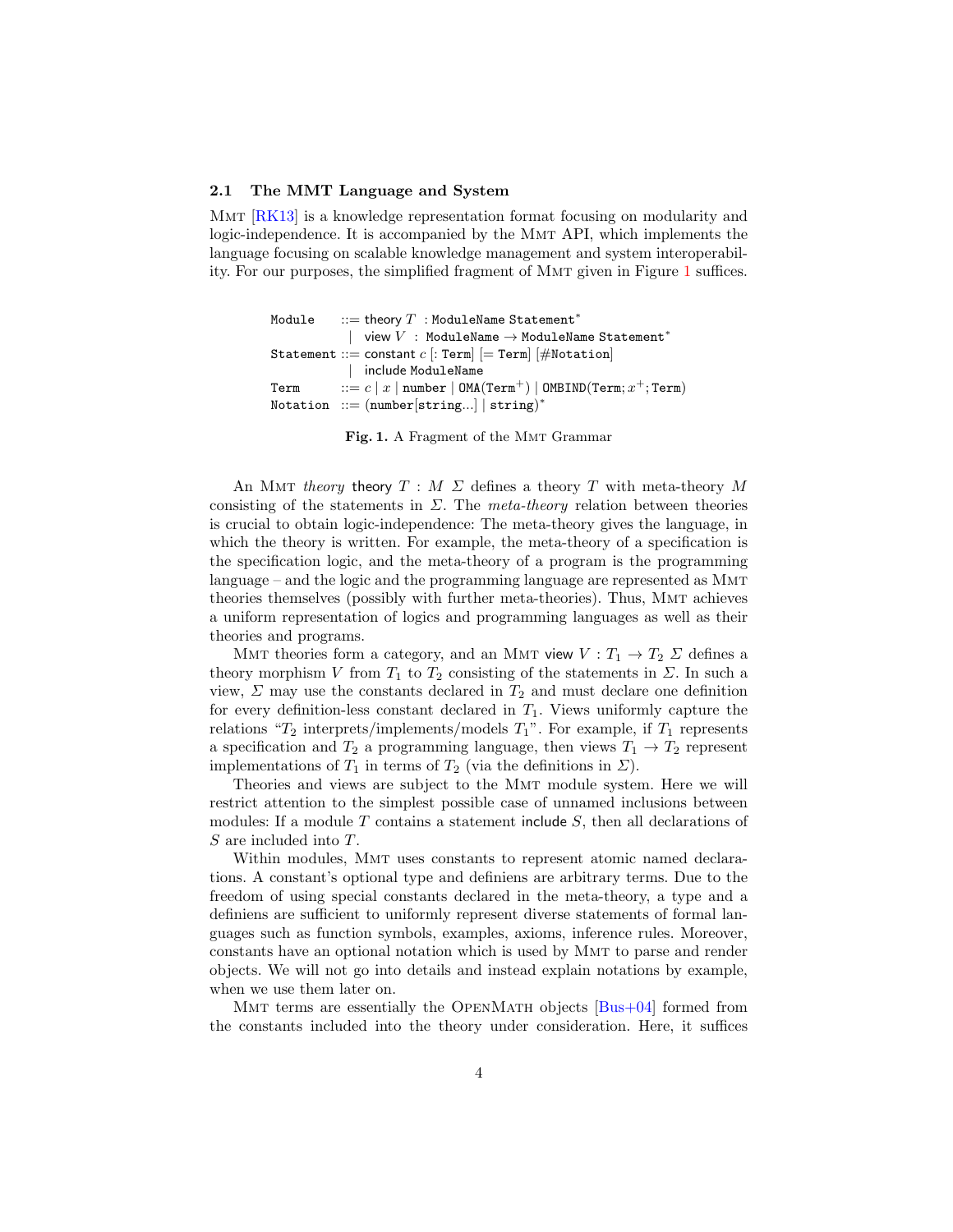#### 2.1 The MMT Language and System

Mmt [\[RK13\]](#page-14-4) is a knowledge representation format focusing on modularity and logic-independence. It is accompanied by the Mmt API, which implements the language focusing on scalable knowledge management and system interoperability. For our purposes, the simplified fragment of Mmt given in Figure [1](#page-3-0) suffices.

```
Module ::= theory T : ModuleName Statement<sup>*</sup>
                | view V : ModuleName \rightarrow ModuleName Statement<sup>*</sup>
Statement ::= constant c [: Term] [= Term] [#Notation]
                | include ModuleName
\texttt{Term} \qquad ::= c \mid x \mid \texttt{number} \mid \texttt{OMA}(\texttt{Term}^+) \mid \texttt{OMBIND}(\texttt{Term}; x^+; \texttt{Term})Notation ::= (number[string...] | string)
∗
```
<span id="page-3-0"></span>Fig. 1. A Fragment of the MMT Grammar

An MMT theory theory  $T : M \Sigma$  defines a theory T with meta-theory M consisting of the statements in  $\Sigma$ . The meta-theory relation between theories is crucial to obtain logic-independence: The meta-theory gives the language, in which the theory is written. For example, the meta-theory of a specification is the specification logic, and the meta-theory of a program is the programming language – and the logic and the programming language are represented as MMT theories themselves (possibly with further meta-theories). Thus, Mmt achieves a uniform representation of logics and programming languages as well as their theories and programs.

MMT theories form a category, and an MMT view  $V: T_1 \to T_2 \Sigma$  defines a theory morphism V from  $T_1$  to  $T_2$  consisting of the statements in  $\Sigma$ . In such a view,  $\Sigma$  may use the constants declared in  $T_2$  and must declare one definition for every definition-less constant declared in  $T_1$ . Views uniformly capture the relations " $T_2$  interprets/implements/models  $T_1$ ". For example, if  $T_1$  represents a specification and  $T_2$  a programming language, then views  $T_1 \rightarrow T_2$  represent implementations of  $T_1$  in terms of  $T_2$  (via the definitions in  $\Sigma$ ).

Theories and views are subject to the MMT module system. Here we will restrict attention to the simplest possible case of unnamed inclusions between modules: If a module  $T$  contains a statement include  $S$ , then all declarations of S are included into T.

Within modules, Mmt uses constants to represent atomic named declarations. A constant's optional type and definiens are arbitrary terms. Due to the freedom of using special constants declared in the meta-theory, a type and a definiens are sufficient to uniformly represent diverse statements of formal languages such as function symbols, examples, axioms, inference rules. Moreover, constants have an optional notation which is used by Mmt to parse and render objects. We will not go into details and instead explain notations by example, when we use them later on.

MMT terms are essentially the OPENMATH objects  $[Bus+04]$  formed from the constants included into the theory under consideration. Here, it suffices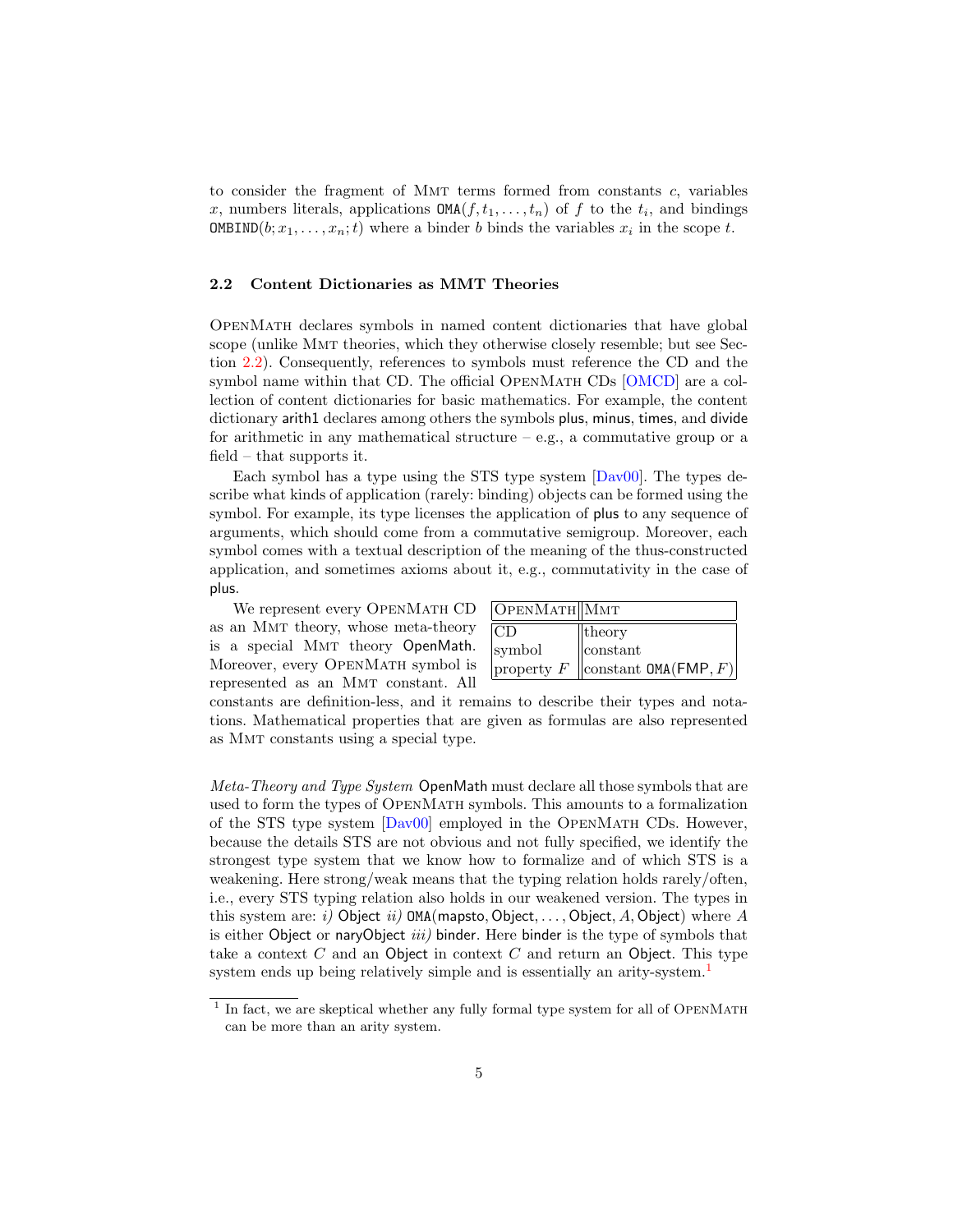to consider the fragment of MMT terms formed from constants  $c$ , variables x, numbers literals, applications  $\texttt{OMA}(f, t_1, \ldots, t_n)$  of f to the  $t_i$ , and bindings **OMBIND** $(b; x_1, \ldots, x_n; t)$  where a binder b binds the variables  $x_i$  in the scope t.

#### <span id="page-4-0"></span>2.2 Content Dictionaries as MMT Theories

OpenMath declares symbols in named content dictionaries that have global scope (unlike Mmt theories, which they otherwise closely resemble; but see Section [2.2\)](#page-4-0). Consequently, references to symbols must reference the CD and the symbol name within that CD. The official OPENMATH CDs  $[OMCD]$  are a collection of content dictionaries for basic mathematics. For example, the content dictionary arith1 declares among others the symbols plus, minus, times, and divide for arithmetic in any mathematical structure  $-$  e.g., a commutative group or a field – that supports it.

Each symbol has a type using the STS type system [\[Dav00\]](#page-14-9). The types describe what kinds of application (rarely: binding) objects can be formed using the symbol. For example, its type licenses the application of plus to any sequence of arguments, which should come from a commutative semigroup. Moreover, each symbol comes with a textual description of the meaning of the thus-constructed application, and sometimes axioms about it, e.g., commutativity in the case of plus.

We represent every OpenMath CD as an Mmt theory, whose meta-theory is a special MMT theory OpenMath. Moreover, every OPENMATH symbol is represented as an Mmt constant. All

| OpENMATH  MMT    |                                      |
|------------------|--------------------------------------|
| CD               | $\ $ theory                          |
| symbol           | $\parallel$ constant                 |
| $ $ property $F$ | $\vert$ constant OMA(FMP, F) $\vert$ |

constants are definition-less, and it remains to describe their types and notations. Mathematical properties that are given as formulas are also represented as Mmt constants using a special type.

Meta-Theory and Type System OpenMath must declare all those symbols that are used to form the types of OpenMath symbols. This amounts to a formalization of the STS type system [\[Dav00\]](#page-14-9) employed in the OpenMath CDs. However, because the details STS are not obvious and not fully specified, we identify the strongest type system that we know how to formalize and of which STS is a weakening. Here strong/weak means that the typing relation holds rarely/often, i.e., every STS typing relation also holds in our weakened version. The types in this system are: i) Object ii)  $OMA(mapsto, Object, ..., Object, A, Object)$  where A is either Object or naryObject  $iii)$  binder. Here binder is the type of symbols that take a context  $C$  and an Object in context  $C$  and return an Object. This type system ends up being relatively simple and is essentially an arity-system.<sup>[1](#page-4-1)</sup>

<span id="page-4-1"></span> $<sup>1</sup>$  In fact, we are skeptical whether any fully formal type system for all of OPENMATH</sup> can be more than an arity system.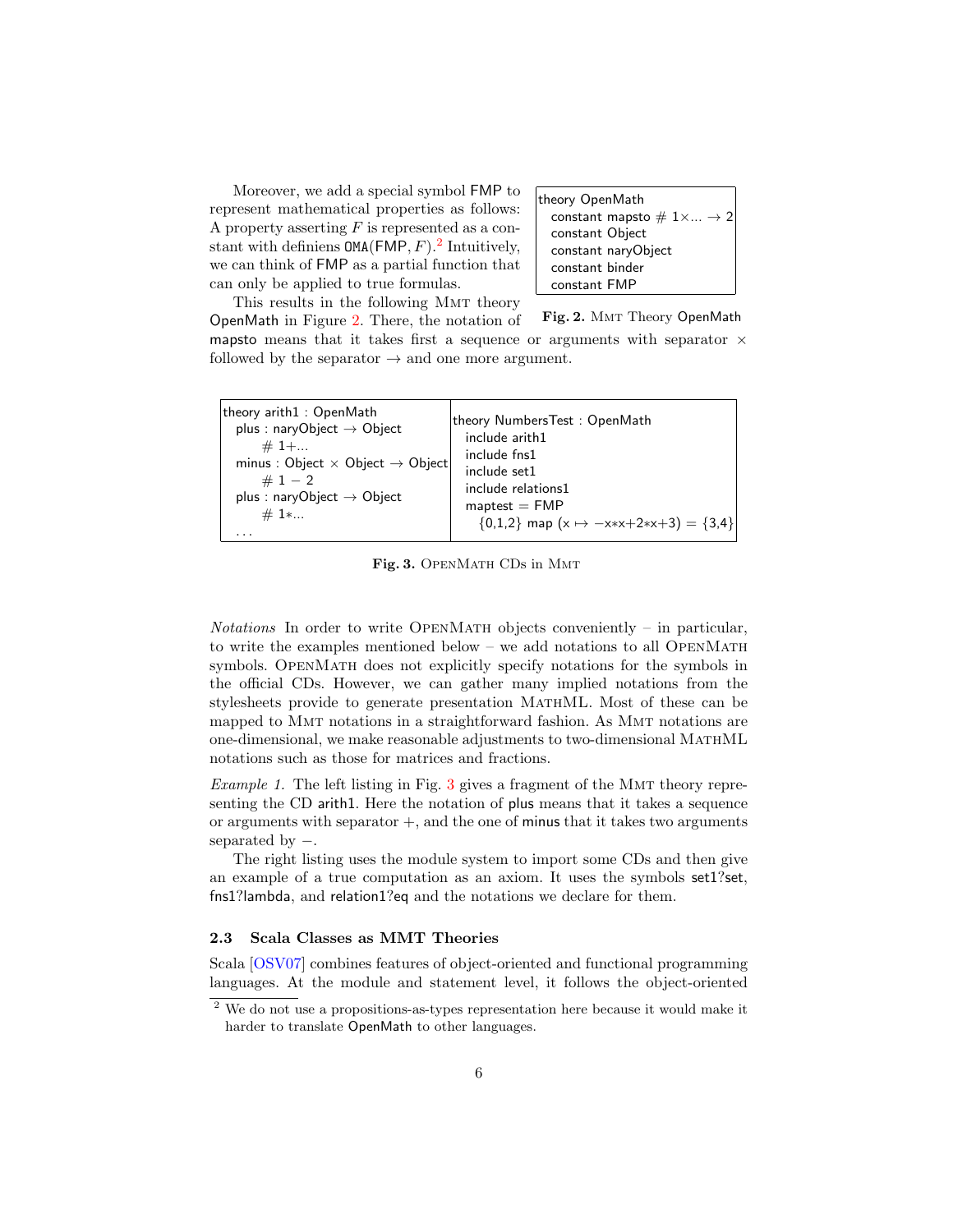Moreover, we add a special symbol FMP to represent mathematical properties as follows: A property asserting  $F$  is represented as a constant with definiens  $OMA(FMP, F).$ <sup>[2](#page-5-0)</sup> Intuitively, we can think of FMP as a partial function that can only be applied to true formulas.

| theory OpenMath                              |  |  |
|----------------------------------------------|--|--|
| constant mapsto $\# 1 \times  \rightarrow 2$ |  |  |
| constant Object                              |  |  |
| constant naryObject                          |  |  |
| constant binder                              |  |  |
| constant FMP                                 |  |  |

This results in the following Mmt theory OpenMath in Figure [2.](#page-5-1) There, the notation of

<span id="page-5-1"></span>Fig. 2. MMT Theory OpenMath

mapsto means that it takes first a sequence or arguments with separator  $\times$ followed by the separator  $\rightarrow$  and one more argument.

| theory arith1: OpenMath                             | theory NumbersTest: OpenMath                       |
|-----------------------------------------------------|----------------------------------------------------|
| plus : naryObject $\rightarrow$ Object              | include arith1                                     |
| $#1+$                                               | include fns1                                       |
| minus : Object $\times$ Object $\rightarrow$ Object | include set1                                       |
| # $1 - 2$                                           | include relations1                                 |
| plus : naryObject $\rightarrow$ Object              | $m$ aptest $=$ FMP                                 |
| $#1*.$                                              | $\{0,1,2\}$ map $(x \mapsto -x*x+2*x+3) = \{3,4\}$ |

<span id="page-5-2"></span>Fig. 3. OPENMATH CDs in MMT

Notations In order to write OPENMATH objects conveniently – in particular, to write the examples mentioned below – we add notations to all OPENMATH symbols. OpenMath does not explicitly specify notations for the symbols in the official CDs. However, we can gather many implied notations from the stylesheets provide to generate presentation MathML. Most of these can be mapped to Mmt notations in a straightforward fashion. As Mmt notations are one-dimensional, we make reasonable adjustments to two-dimensional MathML notations such as those for matrices and fractions.

Example 1. The left listing in Fig.  $3$  gives a fragment of the MMT theory representing the CD arith1. Here the notation of plus means that it takes a sequence or arguments with separator  $+$ , and the one of minus that it takes two arguments separated by  $-$ .

The right listing uses the module system to import some CDs and then give an example of a true computation as an axiom. It uses the symbols set1?set, fns1?lambda, and relation1?eq and the notations we declare for them.

#### 2.3 Scala Classes as MMT Theories

Scala [\[OSV07\]](#page-14-10) combines features of object-oriented and functional programming languages. At the module and statement level, it follows the object-oriented

<span id="page-5-0"></span><sup>&</sup>lt;sup>2</sup> We do not use a propositions-as-types representation here because it would make it harder to translate OpenMath to other languages.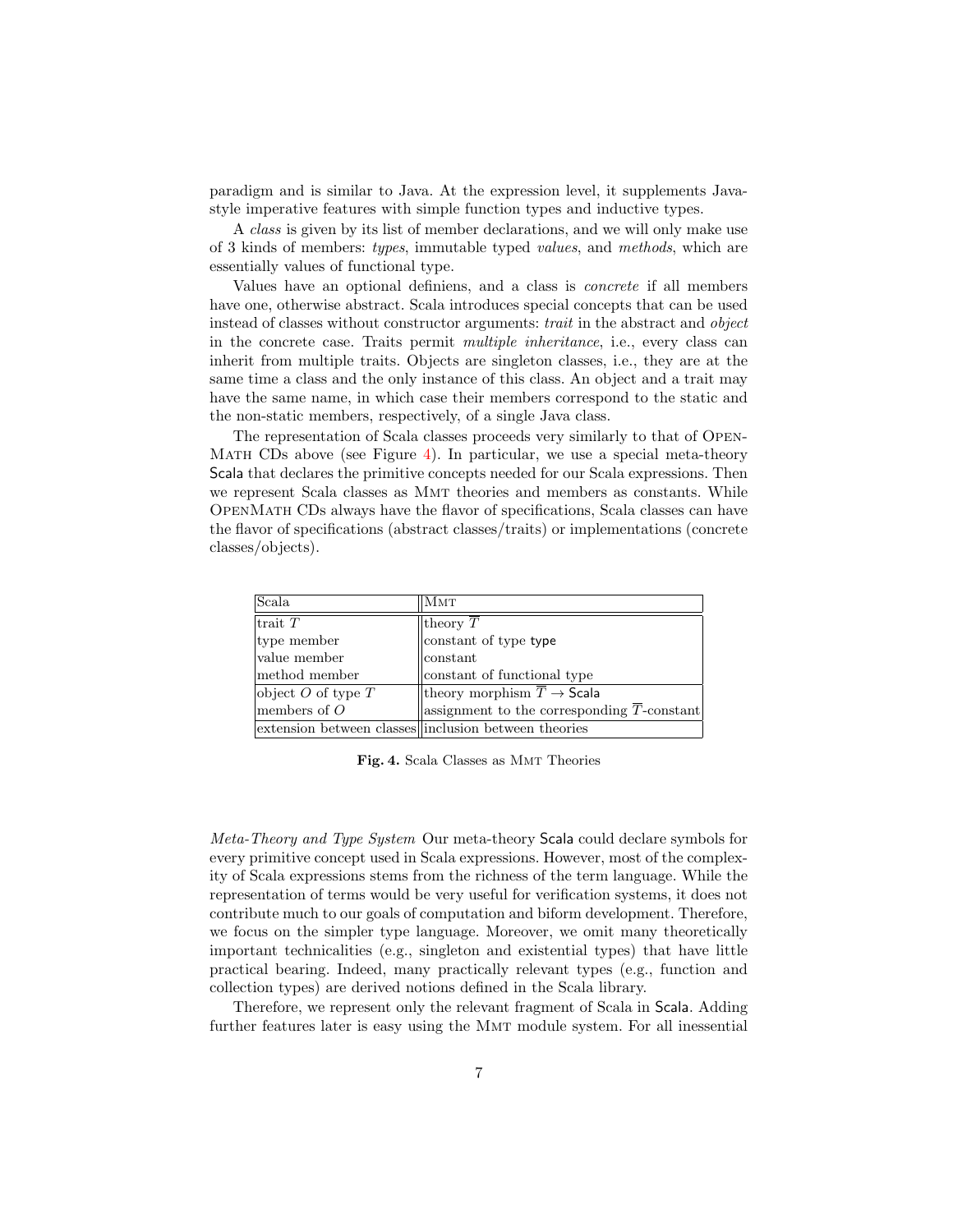paradigm and is similar to Java. At the expression level, it supplements Javastyle imperative features with simple function types and inductive types.

A class is given by its list of member declarations, and we will only make use of 3 kinds of members: types, immutable typed values, and methods, which are essentially values of functional type.

Values have an optional definiens, and a class is concrete if all members have one, otherwise abstract. Scala introduces special concepts that can be used instead of classes without constructor arguments: *trait* in the abstract and *object* in the concrete case. Traits permit multiple inheritance, i.e., every class can inherit from multiple traits. Objects are singleton classes, i.e., they are at the same time a class and the only instance of this class. An object and a trait may have the same name, in which case their members correspond to the static and the non-static members, respectively, of a single Java class.

The representation of Scala classes proceeds very similarly to that of Open-Math CDs above (see Figure [4\)](#page-6-0). In particular, we use a special meta-theory Scala that declares the primitive concepts needed for our Scala expressions. Then we represent Scala classes as Mmt theories and members as constants. While OpenMath CDs always have the flavor of specifications, Scala classes can have the flavor of specifications (abstract classes/traits) or implementations (concrete classes/objects).

| Scala                  | Ммт                                                                                    |
|------------------------|----------------------------------------------------------------------------------------|
| trait $T$              | theory $T$                                                                             |
| type member            | constant of type type                                                                  |
| value member           | constant                                                                               |
| method member          | constant of functional type                                                            |
| object $O$ of type $T$ | theory morphism $\overline{T} \rightarrow$ Scala                                       |
| members of $O$         | $\left  \text{assignment to the corresponding } \overline{T} \text{-constant} \right $ |
|                        | extension between classes inclusion between theories                                   |

<span id="page-6-0"></span>Fig. 4. Scala Classes as Mmt Theories

Meta-Theory and Type System Our meta-theory Scala could declare symbols for every primitive concept used in Scala expressions. However, most of the complexity of Scala expressions stems from the richness of the term language. While the representation of terms would be very useful for verification systems, it does not contribute much to our goals of computation and biform development. Therefore, we focus on the simpler type language. Moreover, we omit many theoretically important technicalities (e.g., singleton and existential types) that have little practical bearing. Indeed, many practically relevant types (e.g., function and collection types) are derived notions defined in the Scala library.

Therefore, we represent only the relevant fragment of Scala in Scala. Adding further features later is easy using the Mmt module system. For all inessential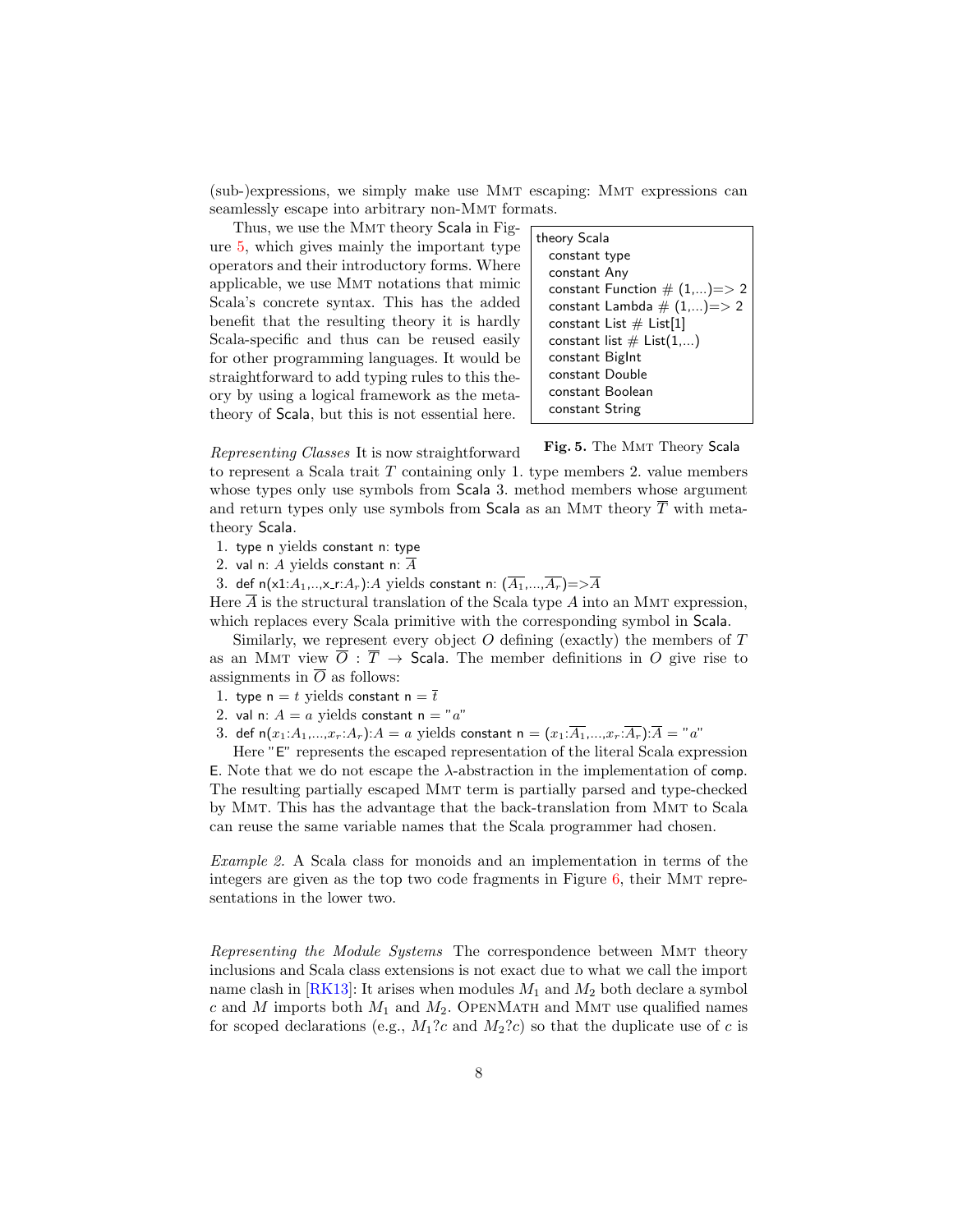(sub-)expressions, we simply make use Mmt escaping: Mmt expressions can seamlessly escape into arbitrary non-Mmt formats.

Thus, we use the MMT theory Scala in Figure [5,](#page-7-0) which gives mainly the important type operators and their introductory forms. Where applicable, we use Mmt notations that mimic Scala's concrete syntax. This has the added benefit that the resulting theory it is hardly Scala-specific and thus can be reused easily for other programming languages. It would be straightforward to add typing rules to this theory by using a logical framework as the metatheory of Scala, but this is not essential here.

| theory Scala                   |  |  |  |
|--------------------------------|--|--|--|
| constant type                  |  |  |  |
| constant Any                   |  |  |  |
| constant Function $\# (1,)=>2$ |  |  |  |
| constant Lambda $\# (1,)=>2$   |  |  |  |
| constant List $#$ List[1]      |  |  |  |
| constant list $\#$ List $(1,)$ |  |  |  |
| constant BigInt                |  |  |  |
| constant Double                |  |  |  |
| constant Boolean               |  |  |  |
| constant String                |  |  |  |
|                                |  |  |  |

<span id="page-7-0"></span>Fig. 5. The MMT Theory Scala

Representing Classes It is now straightforward to represent a Scala trait T containing only 1. type members 2. value members whose types only use symbols from Scala 3. method members whose argument and return types only use symbols from Scala as an MMT theory  $\overline{T}$  with metatheory Scala.

1. type n yields constant n: type

2. val n: A yields constant n:  $\overline{A}$ 

3. def n(x1: $A_1,...,x_r$ : $A_r$ ):A yields constant n:  $(\overline{A_1},...,\overline{A_r}) = > \overline{A}$ 

Here  $A$  is the structural translation of the Scala type  $A$  into an MMT expression, which replaces every Scala primitive with the corresponding symbol in Scala.

Similarly, we represent every object  $O$  defining (exactly) the members of  $T$ as an MMT view  $\overline{O}$ :  $\overline{T}$   $\rightarrow$  Scala. The member definitions in O give rise to assignments in  $\overline{O}$  as follows:

1. type n = t yields constant n =  $\overline{t}$ 

2. val n:  $A = a$  yields constant n = "a"

3. def n $(x_1:A_1,...,x_r:A_r)$ :  $A = a$  yields constant n =  $(x_1:\overline{A_1},...,x_r:\overline{A_r})$ :  $\overline{A} = "a"$ 

Here "E" represents the escaped representation of the literal Scala expression E. Note that we do not escape the λ-abstraction in the implementation of comp. The resulting partially escaped Mmt term is partially parsed and type-checked by Mmt. This has the advantage that the back-translation from Mmt to Scala can reuse the same variable names that the Scala programmer had chosen.

Example 2. A Scala class for monoids and an implementation in terms of the integers are given as the top two code fragments in Figure  $6$ , their MMT representations in the lower two.

Representing the Module Systems The correspondence between Mmt theory inclusions and Scala class extensions is not exact due to what we call the import name clash in  $[RK13]$ : It arises when modules  $M_1$  and  $M_2$  both declare a symbol c and M imports both  $M_1$  and  $M_2$ . OPENMATH and MMT use qualified names for scoped declarations (e.g.,  $M_1$ ?c and  $M_2$ ?c) so that the duplicate use of c is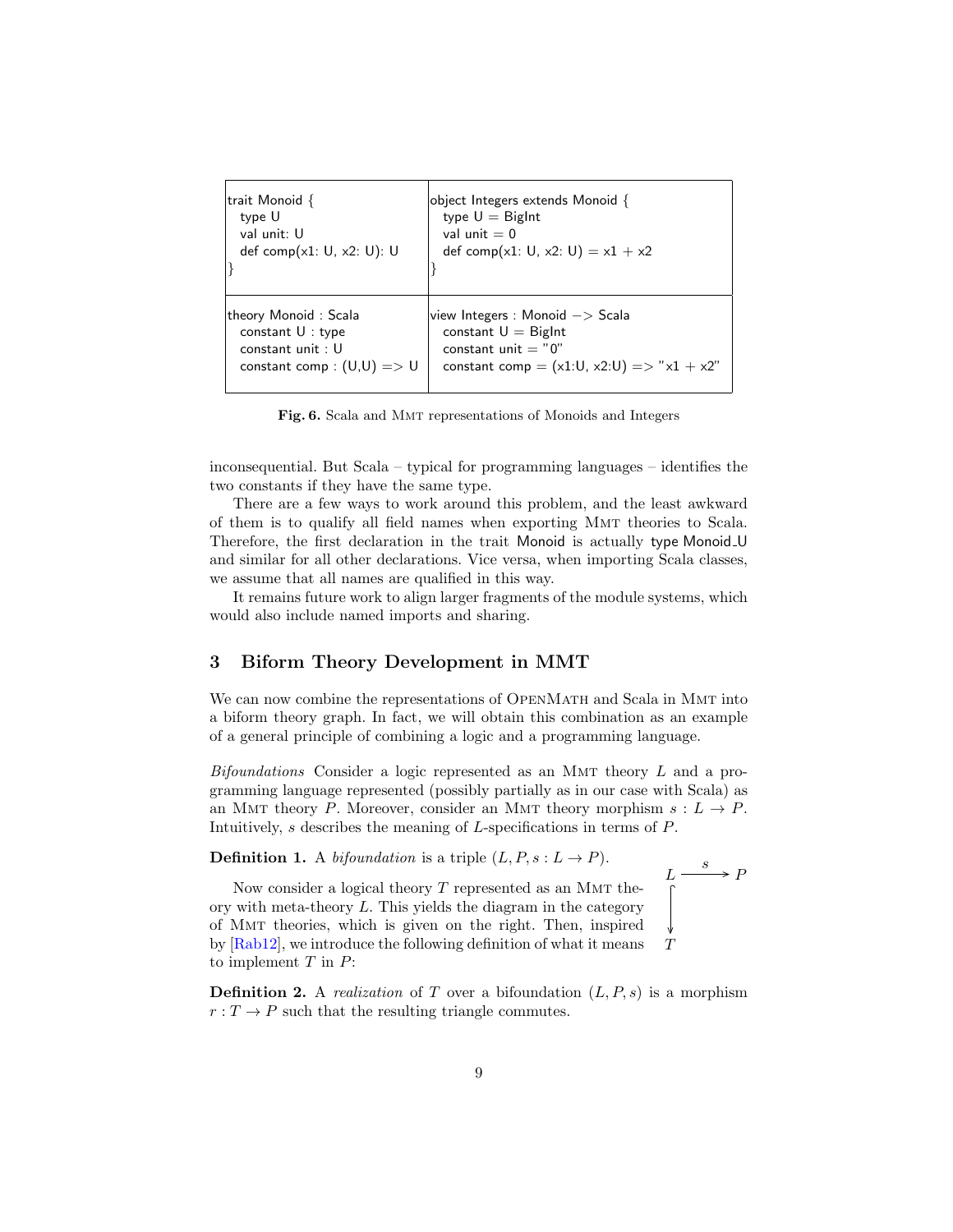| trait Monoid $\{$<br>type U<br>val unit: U<br>def comp $(x1: U, x2: U)$ : U                   | object Integers extends Monoid {<br>type $U =$ BigInt<br>val unit $= 0$<br>def comp(x1: U, x2: U) = $x1 + x2$                                   |
|-----------------------------------------------------------------------------------------------|-------------------------------------------------------------------------------------------------------------------------------------------------|
| theory Monoid: Scala<br>constant $U:$ type<br>constant unit: U<br>constant comp : $(U,U) = U$ | view Integers : Monoid $\rightarrow$ Scala<br>constant $U =$ BigInt<br>constant unit $= "0"$<br>constant comp = $(x1:U, x2:U)$ => " $x1 + x2$ " |

<span id="page-8-0"></span>Fig. 6. Scala and Mmt representations of Monoids and Integers

inconsequential. But Scala – typical for programming languages – identifies the two constants if they have the same type.

There are a few ways to work around this problem, and the least awkward of them is to qualify all field names when exporting Mmt theories to Scala. Therefore, the first declaration in the trait Monoid is actually type Monoid U and similar for all other declarations. Vice versa, when importing Scala classes, we assume that all names are qualified in this way.

It remains future work to align larger fragments of the module systems, which would also include named imports and sharing.

## 3 Biform Theory Development in MMT

We can now combine the representations of OPENMATH and Scala in MMT into a biform theory graph. In fact, we will obtain this combination as an example of a general principle of combining a logic and a programming language.

 $Bifoundations$  Consider a logic represented as an MMT theory  $L$  and a programming language represented (possibly partially as in our case with Scala) as an MMT theory P. Moreover, consider an MMT theory morphism  $s: L \to P$ . Intuitively, s describes the meaning of L-specifications in terms of P.

**Definition 1.** A bifoundation is a triple  $(L, P, s: L \rightarrow P)$ .

$$
L \xrightarrow{s} P
$$

 $T$ Now consider a logical theory  $T$  represented as an MMT theory with meta-theory L. This yields the diagram in the category of Mmt theories, which is given on the right. Then, inspired by [\[Rab12\]](#page-14-11), we introduce the following definition of what it means to implement  $T$  in  $P$ :

**Definition 2.** A *realization* of T over a bifoundation  $(L, P, s)$  is a morphism  $r: T \to P$  such that the resulting triangle commutes.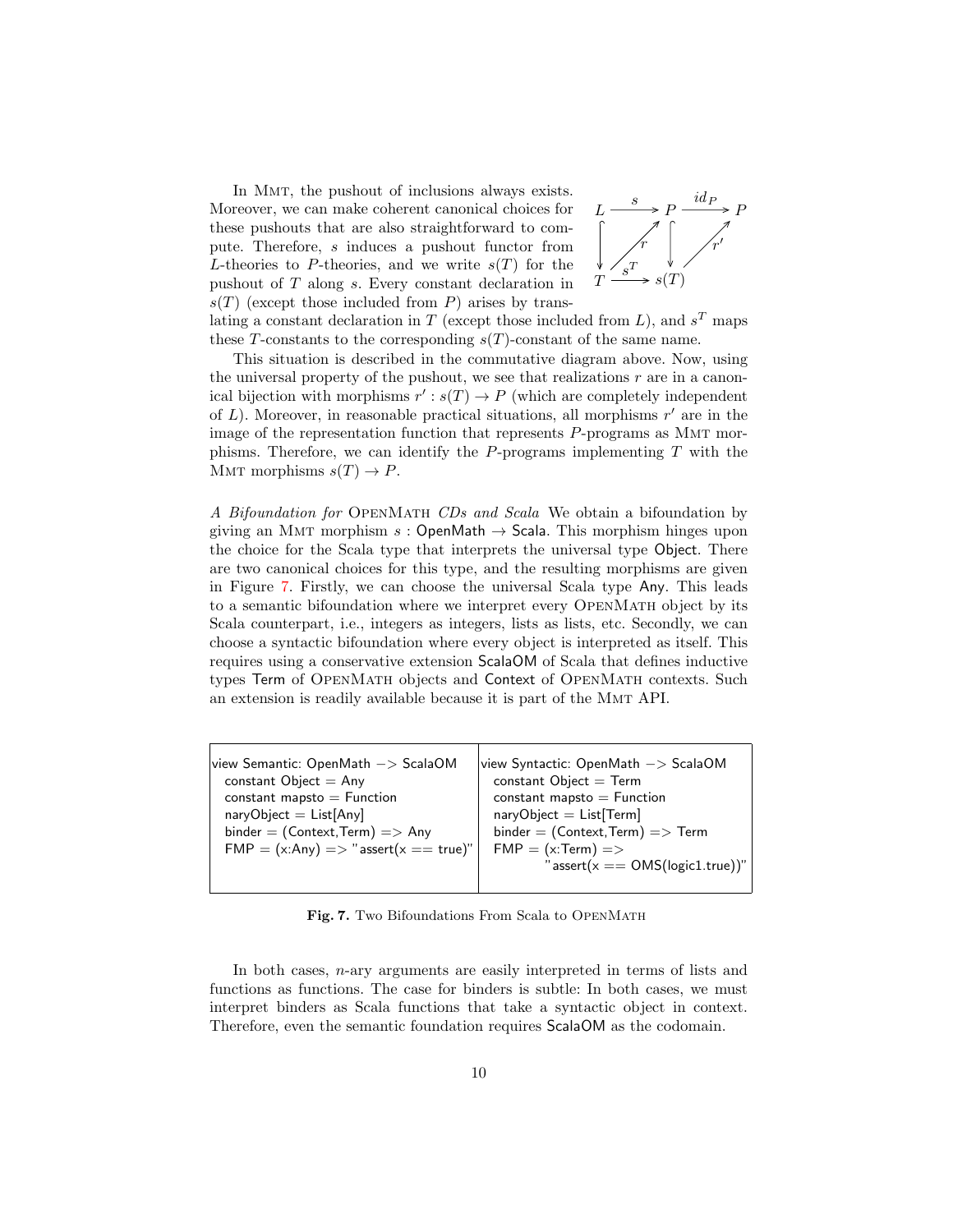In Mmt, the pushout of inclusions always exists. Moreover, we can make coherent canonical choices for these pushouts that are also straightforward to compute. Therefore, s induces a pushout functor from L-theories to P-theories, and we write  $s(T)$  for the pushout of T along s. Every constant declaration in  $s(T)$  (except those included from P) arises by trans-



lating a constant declaration in T (except those included from L), and  $s<sup>T</sup>$  maps these T-constants to the corresponding  $s(T)$ -constant of the same name.

This situation is described in the commutative diagram above. Now, using the universal property of the pushout, we see that realizations  $r$  are in a canonical bijection with morphisms  $r': s(T) \to P$  (which are completely independent of  $L$ ). Moreover, in reasonable practical situations, all morphisms  $r'$  are in the image of the representation function that represents P-programs as Mmt morphisms. Therefore, we can identify the  $P$ -programs implementing  $T$  with the MMT morphisms  $s(T) \to P$ .

A Bifoundation for OPENMATH CDs and Scala We obtain a bifoundation by giving an MMT morphism  $s :$  OpenMath  $\rightarrow$  Scala. This morphism hinges upon the choice for the Scala type that interprets the universal type Object. There are two canonical choices for this type, and the resulting morphisms are given in Figure [7.](#page-9-0) Firstly, we can choose the universal Scala type Any. This leads to a semantic bifoundation where we interpret every OpenMath object by its Scala counterpart, i.e., integers as integers, lists as lists, etc. Secondly, we can choose a syntactic bifoundation where every object is interpreted as itself. This requires using a conservative extension ScalaOM of Scala that defines inductive types Term of OpenMath objects and Context of OpenMath contexts. Such an extension is readily available because it is part of the MMT API.

| view Semantic: OpenMath $->$ ScalaOM   | view Syntactic: OpenMath $->$ ScalaOM |
|----------------------------------------|---------------------------------------|
| constant $Object = Any$                | constant $Object = Term$              |
| $constant$ mapsto $=$ Function         | constant mapsto $=$ Function          |
| $naryObject = List[Any]$               | $naryObject = List[Term]$             |
| $binder = (Context, Term) => Any$      | $binder = (Context, Term) => Term$    |
| $FMP = (x:Any) => "assert(x == true)"$ | $FMP = (x:Term) = >$                  |
|                                        | $"assert(x == OMS(logic1,true))"$     |
|                                        |                                       |

<span id="page-9-0"></span>Fig. 7. Two Bifoundations From Scala to OpenMath

In both cases, n-ary arguments are easily interpreted in terms of lists and functions as functions. The case for binders is subtle: In both cases, we must interpret binders as Scala functions that take a syntactic object in context. Therefore, even the semantic foundation requires ScalaOM as the codomain.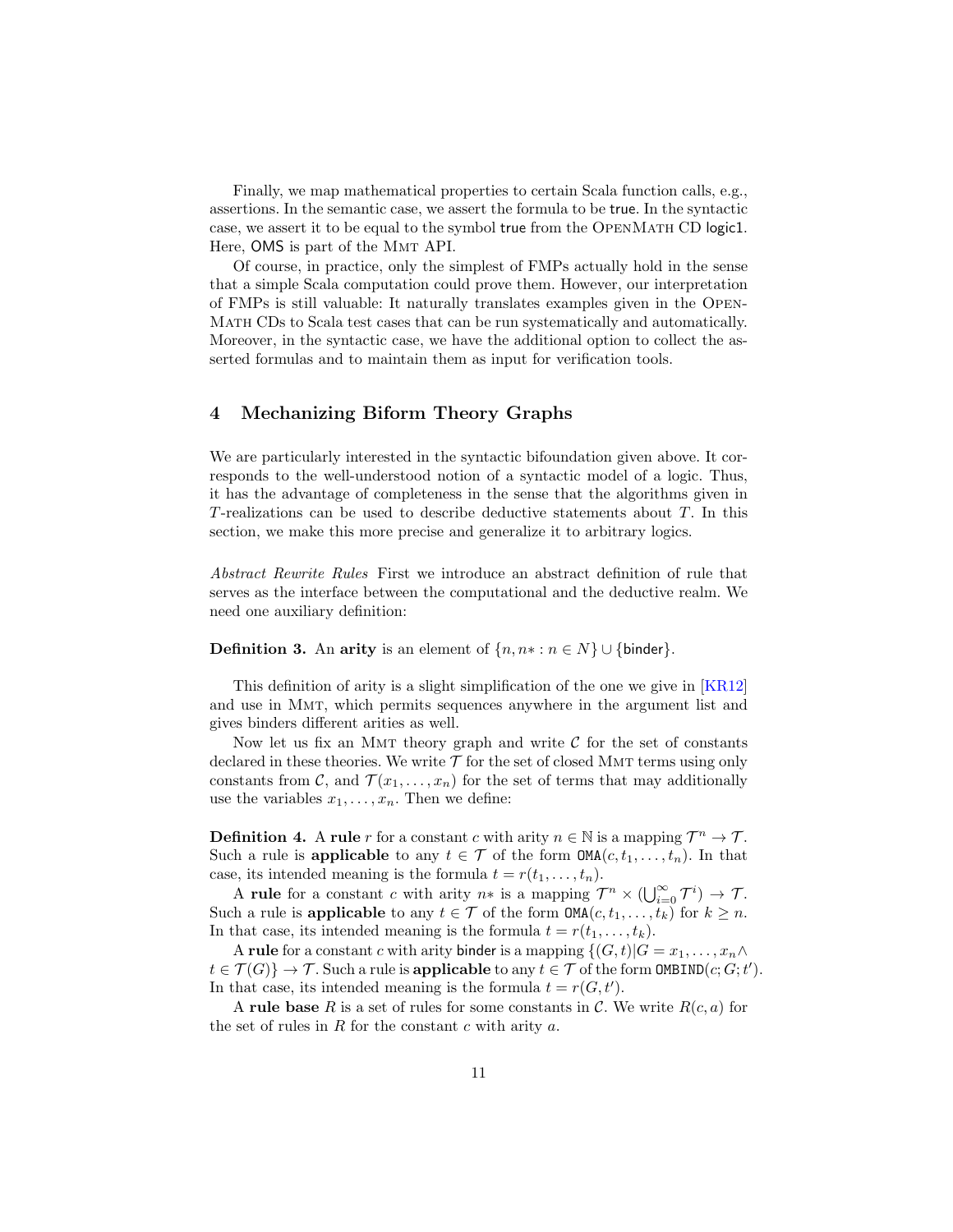Finally, we map mathematical properties to certain Scala function calls, e.g., assertions. In the semantic case, we assert the formula to be true. In the syntactic case, we assert it to be equal to the symbol true from the OPENMATH CD logic1. Here, OMS is part of the Mmt API.

Of course, in practice, only the simplest of FMPs actually hold in the sense that a simple Scala computation could prove them. However, our interpretation of FMPs is still valuable: It naturally translates examples given in the Open-Math CDs to Scala test cases that can be run systematically and automatically. Moreover, in the syntactic case, we have the additional option to collect the asserted formulas and to maintain them as input for verification tools.

## 4 Mechanizing Biform Theory Graphs

We are particularly interested in the syntactic bifoundation given above. It corresponds to the well-understood notion of a syntactic model of a logic. Thus, it has the advantage of completeness in the sense that the algorithms given in T-realizations can be used to describe deductive statements about T. In this section, we make this more precise and generalize it to arbitrary logics.

Abstract Rewrite Rules First we introduce an abstract definition of rule that serves as the interface between the computational and the deductive realm. We need one auxiliary definition:

#### **Definition 3.** An arity is an element of  $\{n, n \cdot : n \in N\} \cup \{\text{binder}\}.$

This definition of arity is a slight simplification of the one we give in [\[KR12\]](#page-14-12) and use in Mmt, which permits sequences anywhere in the argument list and gives binders different arities as well.

Now let us fix an MMT theory graph and write  $\mathcal C$  for the set of constants declared in these theories. We write  $\mathcal T$  for the set of closed MMT terms using only constants from C, and  $\mathcal{T}(x_1,\ldots,x_n)$  for the set of terms that may additionally use the variables  $x_1, \ldots, x_n$ . Then we define:

**Definition 4.** A rule r for a constant c with arity  $n \in \mathbb{N}$  is a mapping  $\mathcal{T}^n \to \mathcal{T}$ . Such a rule is applicable to any  $t \in \mathcal{T}$  of the form  $\text{OMA}(c, t_1, \ldots, t_n)$ . In that case, its intended meaning is the formula  $t = r(t_1, \ldots, t_n)$ .

A rule for a constant c with arity  $n*$  is a mapping  $\mathcal{T}^n \times (\bigcup_{i=0}^{\infty} \mathcal{T}^i) \to \mathcal{T}$ . Such a rule is applicable to any  $t \in \mathcal{T}$  of the form  $\text{OMA}(c, t_1, \ldots, t_k)$  for  $k \geq n$ . In that case, its intended meaning is the formula  $t = r(t_1, \ldots, t_k)$ .

A rule for a constant c with arity binder is a mapping  $\{(G, t)|G = x_1, \ldots, x_n \wedge$  $t \in \mathcal{T}(G) \} \to \mathcal{T}$ . Such a rule is applicable to any  $t \in \mathcal{T}$  of the form OMBIND $(c; G; t')$ . In that case, its intended meaning is the formula  $t = r(G, t')$ .

A rule base R is a set of rules for some constants in C. We write  $R(c, a)$  for the set of rules in  $R$  for the constant  $c$  with arity  $a$ .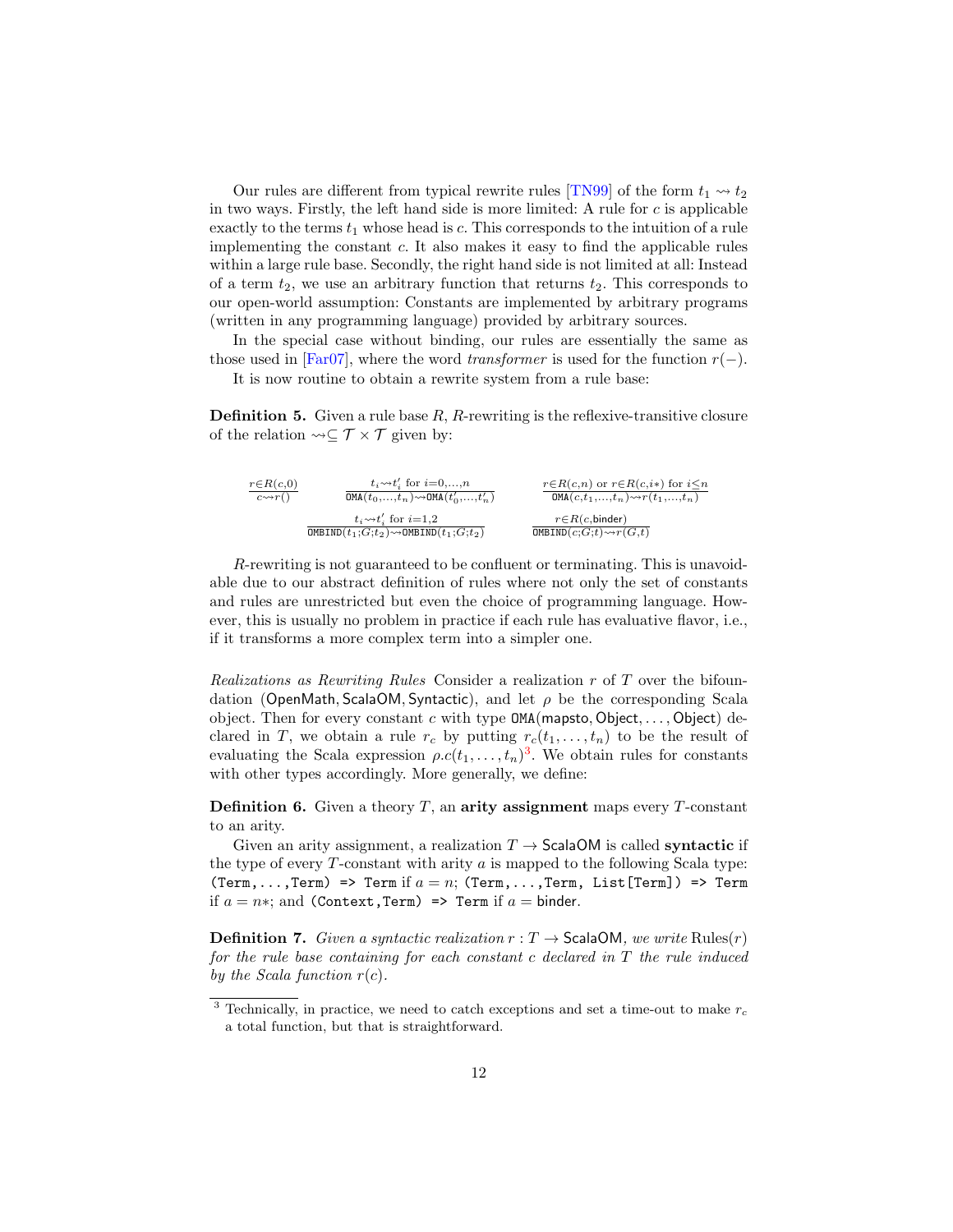Our rules are different from typical rewrite rules [\[TN99\]](#page-14-13) of the form  $t_1 \rightsquigarrow t_2$ in two ways. Firstly, the left hand side is more limited: A rule for  $c$  is applicable exactly to the terms  $t_1$  whose head is c. This corresponds to the intuition of a rule implementing the constant  $c$ . It also makes it easy to find the applicable rules within a large rule base. Secondly, the right hand side is not limited at all: Instead of a term  $t_2$ , we use an arbitrary function that returns  $t_2$ . This corresponds to our open-world assumption: Constants are implemented by arbitrary programs (written in any programming language) provided by arbitrary sources.

In the special case without binding, our rules are essentially the same as those used in [\[Far07\]](#page-14-3), where the word *transformer* is used for the function  $r(-)$ .

It is now routine to obtain a rewrite system from a rule base:

<span id="page-11-2"></span>**Definition 5.** Given a rule base  $R$ ,  $R$ -rewriting is the reflexive-transitive closure of the relation  $\leadsto \subseteq \mathcal{T} \times \mathcal{T}$  given by:

$$
\frac{r \in R(c,0)}{c \leadsto r(\tt)} \quad \frac{t_i \leadsto t_i'\text{ for } i=0,...,n}{\text{OMA}(t_0,...,t_n) \leadsto \text{OMA}(t'_0,...,t'_n)} \quad \frac{r \in R(c,n) \text{ or } r \in R(c,i*) \text{ for } i \leq n}{\text{OMA}(c,t_1,...,t_n) \leadsto r(t_1,...,t_n)} \\ \frac{t_i \leadsto t_i'\text{ for } i=1,2}{\text{OMBIND}(t_1;G;t_2) \leadsto \text{OMBIND}(t_1;G;t_2)} \quad \frac{r \in R(c,n) \text{ or } r \in R(c,i*) \text{ for } i \leq n}{\text{OMBIND}(c;G;t) \leadsto r(G,t)} \\
$$

R-rewriting is not guaranteed to be confluent or terminating. This is unavoidable due to our abstract definition of rules where not only the set of constants and rules are unrestricted but even the choice of programming language. However, this is usually no problem in practice if each rule has evaluative flavor, i.e., if it transforms a more complex term into a simpler one.

Realizations as Rewriting Rules Consider a realization r of T over the bifoundation (OpenMath, ScalaOM, Syntactic), and let  $\rho$  be the corresponding Scala object. Then for every constant c with type  $OMA(m$ apsto,  $Object, \ldots, Object)$  declared in T, we obtain a rule  $r_c$  by putting  $r_c(t_1, \ldots, t_n)$  to be the result of evaluating the Scala expression  $\rho.c(t_1,\ldots,t_n)^3$  $\rho.c(t_1,\ldots,t_n)^3$ . We obtain rules for constants with other types accordingly. More generally, we define:

**Definition 6.** Given a theory  $T$ , an **arity assignment** maps every  $T$ -constant to an arity.

Given an arity assignment, a realization  $T \rightarrow$  ScalaOM is called **syntactic** if the type of every  $T$ -constant with arity  $a$  is mapped to the following Scala type: (Term,...,Term) => Term if  $a = n$ ; (Term,...,Term, List[Term]) => Term if  $a = n*$ ; and (Context, Term) => Term if  $a =$  binder.

<span id="page-11-1"></span>**Definition 7.** Given a syntactic realization  $r : T \to \mathsf{ScalaOM}$ , we write Rules $(r)$ for the rule base containing for each constant c declared in T the rule induced by the Scala function  $r(c)$ .

<span id="page-11-0"></span><sup>&</sup>lt;sup>3</sup> Technically, in practice, we need to catch exceptions and set a time-out to make  $r_c$ a total function, but that is straightforward.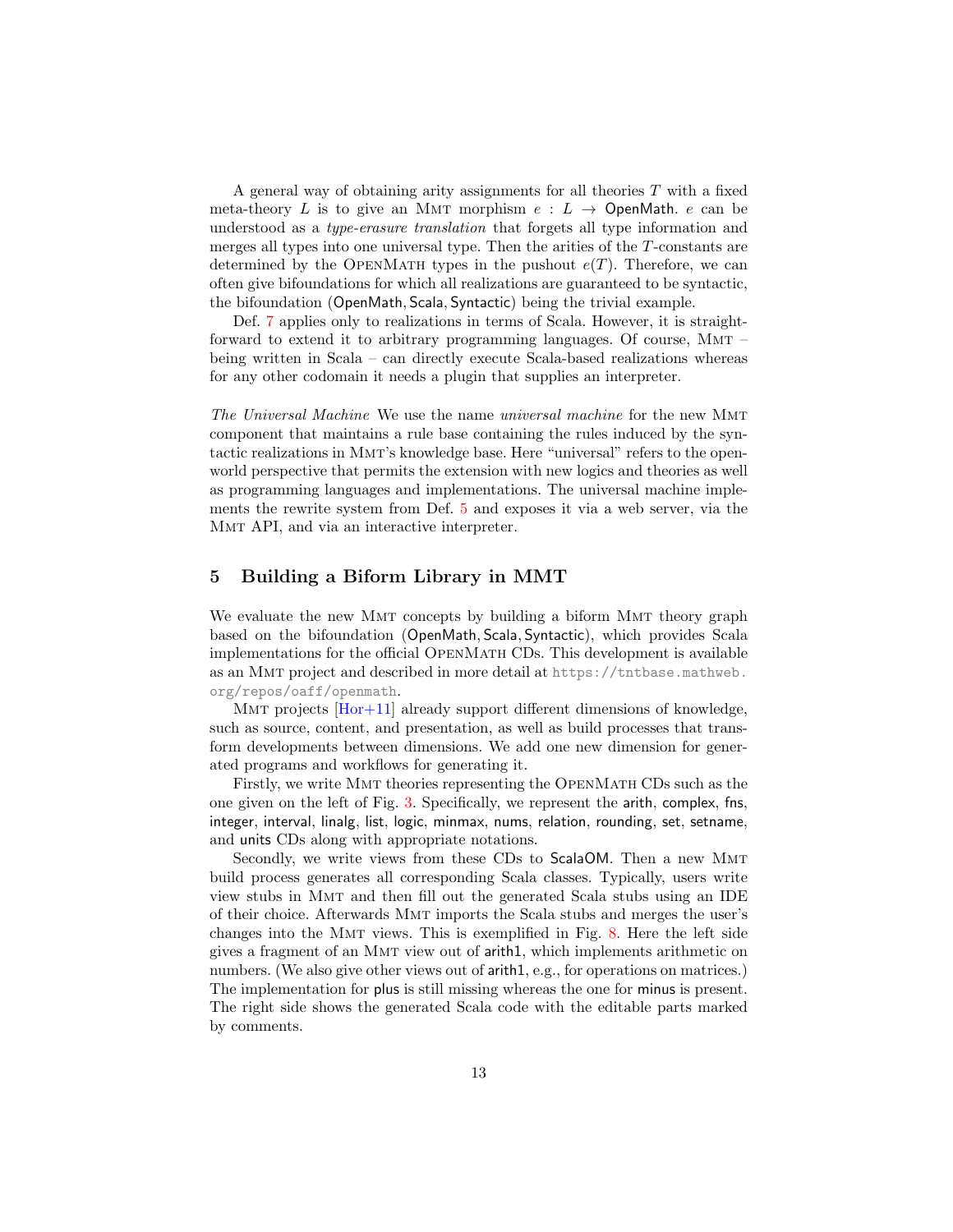A general way of obtaining arity assignments for all theories T with a fixed meta-theory L is to give an MMT morphism  $e: L \rightarrow$  OpenMath. e can be understood as a type-erasure translation that forgets all type information and merges all types into one universal type. Then the arities of the T-constants are determined by the OPENMATH types in the pushout  $e(T)$ . Therefore, we can often give bifoundations for which all realizations are guaranteed to be syntactic, the bifoundation (OpenMath, Scala, Syntactic) being the trivial example.

Def. [7](#page-11-1) applies only to realizations in terms of Scala. However, it is straightforward to extend it to arbitrary programming languages. Of course, Mmt – being written in Scala – can directly execute Scala-based realizations whereas for any other codomain it needs a plugin that supplies an interpreter.

The Universal Machine We use the name universal machine for the new Mmt component that maintains a rule base containing the rules induced by the syntactic realizations in Mmt's knowledge base. Here "universal" refers to the openworld perspective that permits the extension with new logics and theories as well as programming languages and implementations. The universal machine implements the rewrite system from Def. [5](#page-11-2) and exposes it via a web server, via the Mmt API, and via an interactive interpreter.

## 5 Building a Biform Library in MMT

We evaluate the new MMT concepts by building a biform MMT theory graph based on the bifoundation (OpenMath, Scala, Syntactic), which provides Scala implementations for the official OpenMath CDs. This development is available as an Mmt project and described in more detail at [https://tntbase.mathweb.](https://tntbase.mathweb.org/repos/oaff/openmath) [org/repos/oaff/openmath](https://tntbase.mathweb.org/repos/oaff/openmath).

MMT projects [\[Hor+11\]](#page-14-14) already support different dimensions of knowledge, such as source, content, and presentation, as well as build processes that transform developments between dimensions. We add one new dimension for generated programs and workflows for generating it.

Firstly, we write Mmt theories representing the OpenMath CDs such as the one given on the left of Fig. [3.](#page-5-2) Specifically, we represent the arith, complex, fns, integer, interval, linalg, list, logic, minmax, nums, relation, rounding, set, setname, and units CDs along with appropriate notations.

Secondly, we write views from these CDs to ScalaOM. Then a new Mmt build process generates all corresponding Scala classes. Typically, users write view stubs in Mmt and then fill out the generated Scala stubs using an IDE of their choice. Afterwards Mmt imports the Scala stubs and merges the user's changes into the Mmt views. This is exemplified in Fig. [8.](#page-13-0) Here the left side gives a fragment of an Mmt view out of arith1, which implements arithmetic on numbers. (We also give other views out of arith1, e.g., for operations on matrices.) The implementation for plus is still missing whereas the one for minus is present. The right side shows the generated Scala code with the editable parts marked by comments.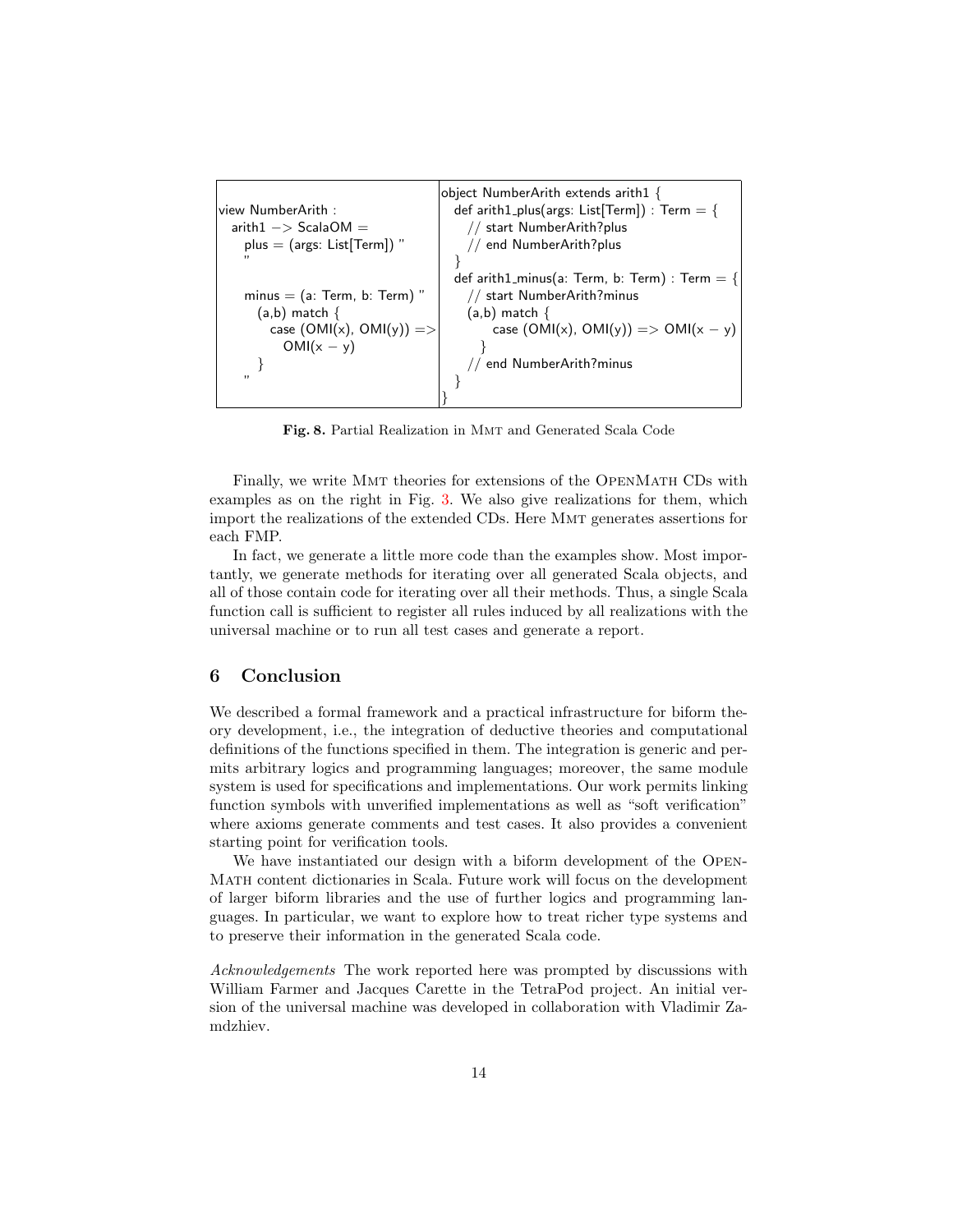view NumberArith :  $arith1 - >$  ScalaOM = plus = (args: List[Term]) " "  $minus = (a: Term, b: Term)$ (a,b) match { case  $(OMI(x), OMI(y)) =$ OMI $(x - y)$ } " object NumberArith extends arith1 { def arith1\_plus(args: List[Term]) : Term  $=$  { // start NumberArith?plus // end NumberArith?plus } def arith1\_minus(a: Term, b: Term) : Term  $=$  { // start NumberArith?minus  $(a,b)$  match { case  $(OMI(x), OMI(y)) \implies OMI(x - y)$ } // end NumberArith?minus } }

<span id="page-13-0"></span>Fig. 8. Partial Realization in Mmt and Generated Scala Code

Finally, we write Mmt theories for extensions of the OpenMath CDs with examples as on the right in Fig. [3.](#page-5-2) We also give realizations for them, which import the realizations of the extended CDs. Here Mmt generates assertions for each FMP.

In fact, we generate a little more code than the examples show. Most importantly, we generate methods for iterating over all generated Scala objects, and all of those contain code for iterating over all their methods. Thus, a single Scala function call is sufficient to register all rules induced by all realizations with the universal machine or to run all test cases and generate a report.

# 6 Conclusion

We described a formal framework and a practical infrastructure for biform theory development, i.e., the integration of deductive theories and computational definitions of the functions specified in them. The integration is generic and permits arbitrary logics and programming languages; moreover, the same module system is used for specifications and implementations. Our work permits linking function symbols with unverified implementations as well as "soft verification" where axioms generate comments and test cases. It also provides a convenient starting point for verification tools.

We have instantiated our design with a biform development of the Open-Math content dictionaries in Scala. Future work will focus on the development of larger biform libraries and the use of further logics and programming languages. In particular, we want to explore how to treat richer type systems and to preserve their information in the generated Scala code.

Acknowledgements The work reported here was prompted by discussions with William Farmer and Jacques Carette in the TetraPod project. An initial version of the universal machine was developed in collaboration with Vladimir Zamdzhiev.